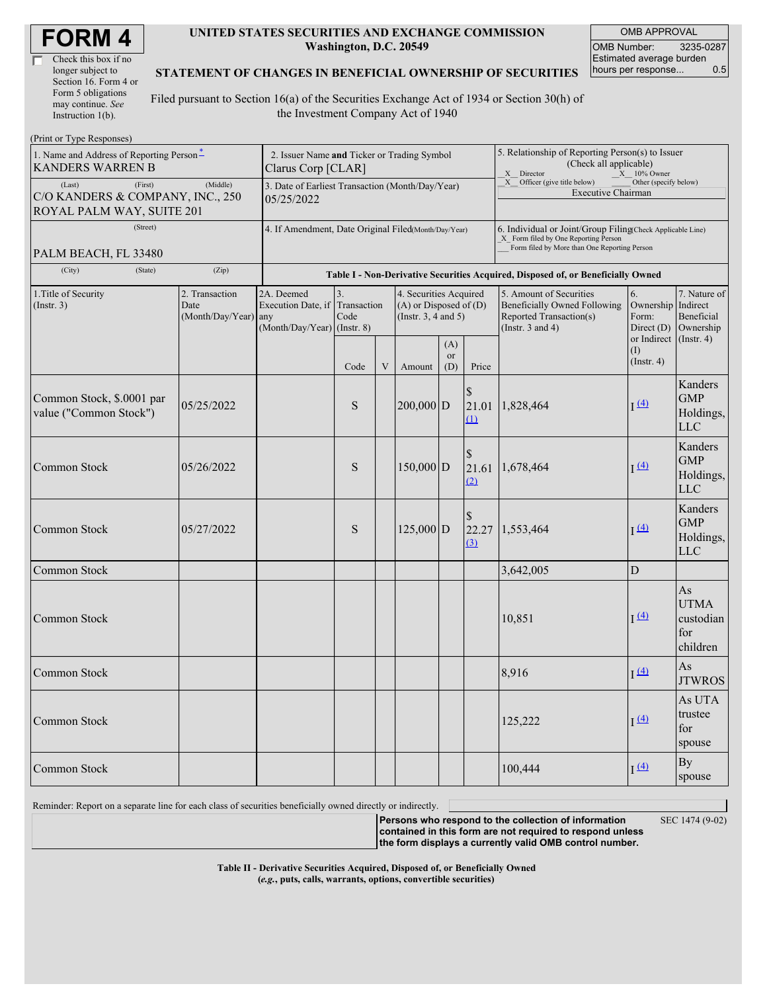| <b>FORM4</b> |
|--------------|
|--------------|

| Check this box if no  |
|-----------------------|
| longer subject to     |
| Section 16. Form 4 or |
| Form 5 obligations    |
| may continue. See     |
| Instruction 1(b).     |

#### **UNITED STATES SECURITIES AND EXCHANGE COMMISSION Washington, D.C. 20549**

OMB APPROVAL OMB Number: 3235-0287 Estimated average burden hours per response... 0.5

#### **STATEMENT OF CHANGES IN BENEFICIAL OWNERSHIP OF SECURITIES**

Filed pursuant to Section 16(a) of the Securities Exchange Act of 1934 or Section 30(h) of the Investment Company Act of 1940

| (Print or Type Responses)                                                          |                                                                                  |                                                                        |                           |   |                                                                                  |                  |                                                                                                                                                    |                                                                                                             |                                                 |                                                   |
|------------------------------------------------------------------------------------|----------------------------------------------------------------------------------|------------------------------------------------------------------------|---------------------------|---|----------------------------------------------------------------------------------|------------------|----------------------------------------------------------------------------------------------------------------------------------------------------|-------------------------------------------------------------------------------------------------------------|-------------------------------------------------|---------------------------------------------------|
| 1. Name and Address of Reporting Person-<br><b>KANDERS WARREN B</b>                | 2. Issuer Name and Ticker or Trading Symbol<br>Clarus Corp [CLAR]                |                                                                        |                           |   |                                                                                  |                  | 5. Relationship of Reporting Person(s) to Issuer<br>(Check all applicable)<br>X Director<br>$X = 10\%$ Owner                                       |                                                                                                             |                                                 |                                                   |
| (First)<br>(Last)<br>C/O KANDERS & COMPANY, INC., 250<br>ROYAL PALM WAY, SUITE 201 | 3. Date of Earliest Transaction (Month/Day/Year)<br>05/25/2022                   |                                                                        |                           |   |                                                                                  |                  | X Officer (give title below)<br>Other (specify below)<br><b>Executive Chairman</b>                                                                 |                                                                                                             |                                                 |                                                   |
| (Street)<br>PALM BEACH, FL 33480                                                   | 4. If Amendment, Date Original Filed(Month/Day/Year)                             |                                                                        |                           |   |                                                                                  |                  | 6. Individual or Joint/Group Filing(Check Applicable Line)<br>X Form filed by One Reporting Person<br>Form filed by More than One Reporting Person |                                                                                                             |                                                 |                                                   |
| (City)<br>(State)                                                                  | Table I - Non-Derivative Securities Acquired, Disposed of, or Beneficially Owned |                                                                        |                           |   |                                                                                  |                  |                                                                                                                                                    |                                                                                                             |                                                 |                                                   |
| 1. Title of Security<br>2. Transaction<br>(Insert. 3)<br>Date<br>(Month/Day/Year)  |                                                                                  | 2A. Deemed<br>Execution Date, if<br>any<br>(Month/Day/Year) (Instr. 8) | 3.<br>Transaction<br>Code |   | 4. Securities Acquired<br>$(A)$ or Disposed of $(D)$<br>(Instr. $3, 4$ and $5$ ) |                  |                                                                                                                                                    | 5. Amount of Securities<br>Beneficially Owned Following<br>Reported Transaction(s)<br>(Instr. $3$ and $4$ ) | 6.<br>Ownership Indirect<br>Form:<br>Direct (D) | 7. Nature of<br>Beneficial<br>Ownership           |
|                                                                                    |                                                                                  |                                                                        | Code                      | V | Amount                                                                           | (A)<br>or<br>(D) | Price                                                                                                                                              |                                                                                                             | or Indirect<br>(1)<br>$($ Instr. 4 $)$          | $($ Instr. 4 $)$                                  |
| Common Stock, \$.0001 par<br>value ("Common Stock")                                | 05/25/2022                                                                       |                                                                        | S                         |   | $200,000$ D                                                                      |                  | 21.01<br>$\Omega$                                                                                                                                  | 1,828,464                                                                                                   | I(4)                                            | Kanders<br><b>GMP</b><br>Holdings,<br><b>LLC</b>  |
| Common Stock                                                                       | 05/26/2022                                                                       |                                                                        | S                         |   | $150,000$ D                                                                      |                  | \$<br>(2)                                                                                                                                          | 21.61 1,678,464                                                                                             | I <sup>(4)</sup>                                | Kanders<br><b>GMP</b><br>Holdings,<br><b>LLC</b>  |
| Common Stock                                                                       | 05/27/2022                                                                       |                                                                        | S                         |   | $125,000$ D                                                                      |                  | (3)                                                                                                                                                | 22.27 1,553,464                                                                                             | I(4)                                            | Kanders<br><b>GMP</b><br>Holdings,<br>LLC         |
| Common Stock                                                                       |                                                                                  |                                                                        |                           |   |                                                                                  |                  |                                                                                                                                                    | 3,642,005                                                                                                   | D                                               |                                                   |
| Common Stock                                                                       |                                                                                  |                                                                        |                           |   |                                                                                  |                  |                                                                                                                                                    | 10,851                                                                                                      | $\frac{(4)}{2}$                                 | As<br><b>UTMA</b><br>custodian<br>for<br>children |
| Common Stock                                                                       |                                                                                  |                                                                        |                           |   |                                                                                  |                  |                                                                                                                                                    | 8,916                                                                                                       | I <sup>(4)</sup>                                | As<br><b>JTWROS</b>                               |
| Common Stock                                                                       |                                                                                  |                                                                        |                           |   |                                                                                  |                  |                                                                                                                                                    | 125,222                                                                                                     | $\sqrt{4}$                                      | As UTA<br>trustee<br>for<br>spouse                |
| Common Stock                                                                       |                                                                                  |                                                                        |                           |   |                                                                                  |                  |                                                                                                                                                    | 100,444                                                                                                     | I(4)                                            | <b>By</b><br>spouse                               |

Reminder: Report on a separate line for each class of securities beneficially owned directly or indirectly.

**Persons who respond to the collection of information contained in this form are not required to respond unless the form displays a currently valid OMB control number.**

SEC 1474 (9-02)

**Table II - Derivative Securities Acquired, Disposed of, or Beneficially Owned (***e.g.***, puts, calls, warrants, options, convertible securities)**